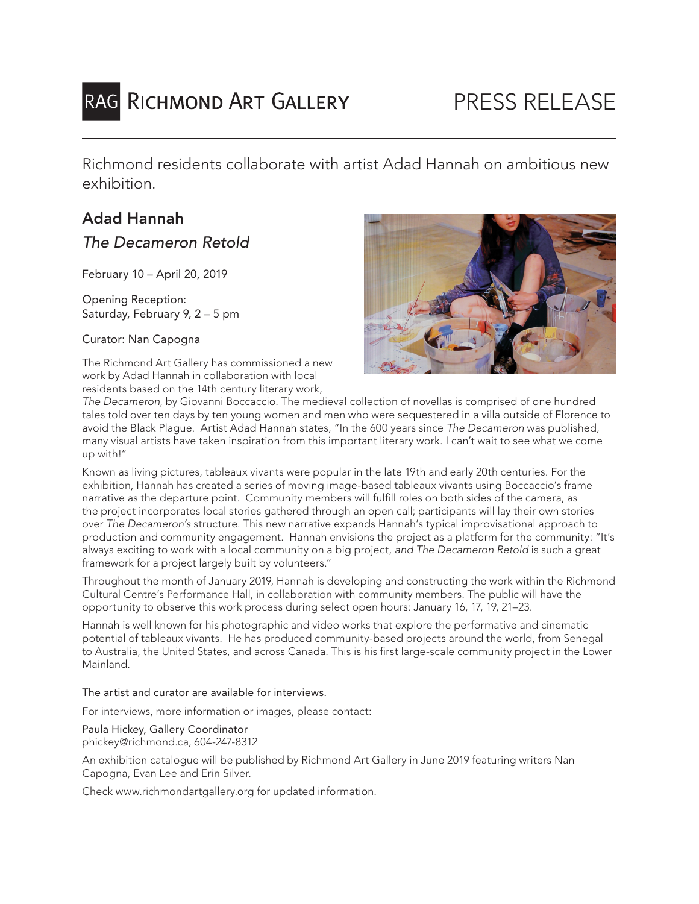# RAG RICHMOND ART GALLERY

Richmond residents collaborate with artist Adad Hannah on ambitious new exhibition.

## Adad Hannah

## *The Decameron Retold*

February 10 – April 20, 2019

Opening Reception: Saturday, February 9, 2 – 5 pm

Curator: Nan Capogna

The Richmond Art Gallery has commissioned a new work by Adad Hannah in collaboration with local residents based on the 14th century literary work,



*The Decameron*, by Giovanni Boccaccio. The medieval collection of novellas is comprised of one hundred tales told over ten days by ten young women and men who were sequestered in a villa outside of Florence to avoid the Black Plague. Artist Adad Hannah states, "In the 600 years since *The Decameron* was published, many visual artists have taken inspiration from this important literary work. I can't wait to see what we come up with!"

Known as living pictures, tableaux vivants were popular in the late 19th and early 20th centuries. For the exhibition, Hannah has created a series of moving image-based tableaux vivants using Boccaccio's frame narrative as the departure point. Community members will fulfill roles on both sides of the camera, as the project incorporates local stories gathered through an open call; participants will lay their own stories over *The Decameron's* structure. This new narrative expands Hannah's typical improvisational approach to production and community engagement. Hannah envisions the project as a platform for the community: "It's always exciting to work with a local community on a big project, *and The Decameron Retold* is such a great framework for a project largely built by volunteers."

Throughout the month of January 2019, Hannah is developing and constructing the work within the Richmond Cultural Centre's Performance Hall, in collaboration with community members. The public will have the opportunity to observe this work process during select open hours: January 16, 17, 19, 21–23.

Hannah is well known for his photographic and video works that explore the performative and cinematic potential of tableaux vivants. He has produced community-based projects around the world, from Senegal to Australia, the United States, and across Canada. This is his first large-scale community project in the Lower Mainland.

The artist and curator are available for interviews.

For interviews, more information or images, please contact:

Paula Hickey, Gallery Coordinator phickey@richmond.ca, 604-247-8312

An exhibition catalogue will be published by Richmond Art Gallery in June 2019 featuring writers Nan Capogna, Evan Lee and Erin Silver.

Check www.richmondartgallery.org for updated information.